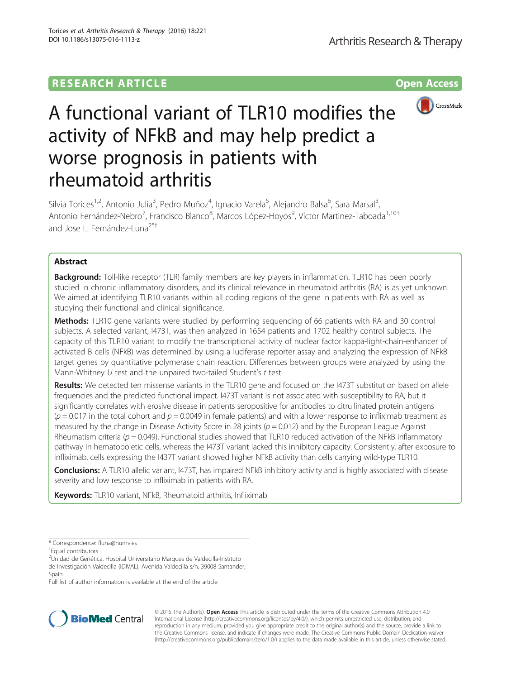## **RESEARCH ARTICLE Example 2014 12:30 The Contract of Contract ACCESS**



# A functional variant of TLR10 modifies the activity of NFkB and may help predict a worse prognosis in patients with rheumatoid arthritis

Silvia Torices<sup>1,2</sup>, Antonio Julia<sup>3</sup>, Pedro Muñoz<sup>4</sup>, Ignacio Varela<sup>5</sup>, Alejandro Balsa<sup>6</sup>, Sara Marsal<sup>3</sup> , Antonio Fernández-Nebro<sup>7</sup>, Francisco Blanco<sup>8</sup>, Marcos López-Hoyos<sup>9</sup>, Víctor Martinez-Taboada<sup>1,10†</sup> and Jose L. Fernández-Luna<sup>2\*†</sup>

## Abstract

**Background:** Toll-like receptor (TLR) family members are key players in inflammation. TLR10 has been poorly studied in chronic inflammatory disorders, and its clinical relevance in rheumatoid arthritis (RA) is as yet unknown. We aimed at identifying TLR10 variants within all coding regions of the gene in patients with RA as well as studying their functional and clinical significance.

**Methods:** TLR10 gene variants were studied by performing sequencing of 66 patients with RA and 30 control subjects. A selected variant, I473T, was then analyzed in 1654 patients and 1702 healthy control subjects. The capacity of this TLR10 variant to modify the transcriptional activity of nuclear factor kappa-light-chain-enhancer of activated B cells (NFkB) was determined by using a luciferase reporter assay and analyzing the expression of NFkB target genes by quantitative polymerase chain reaction. Differences between groups were analyzed by using the Mann-Whitney U test and the unpaired two-tailed Student's t test.

Results: We detected ten missense variants in the TLR10 gene and focused on the I473T substitution based on allele frequencies and the predicted functional impact. I473T variant is not associated with susceptibility to RA, but it significantly correlates with erosive disease in patients seropositive for antibodies to citrullinated protein antigens  $(p = 0.017$  in the total cohort and  $p = 0.0049$  in female patients) and with a lower response to infliximab treatment as measured by the change in Disease Activity Score in 28 joints  $(p = 0.012)$  and by the European League Against Rheumatism criteria ( $p = 0.049$ ). Functional studies showed that TLR10 reduced activation of the NFkB inflammatory pathway in hematopoietic cells, whereas the I473T variant lacked this inhibitory capacity. Consistently, after exposure to infliximab, cells expressing the I437T variant showed higher NFkB activity than cells carrying wild-type TLR10.

**Conclusions:** A TLR10 allelic variant, 1473T, has impaired NFkB inhibitory activity and is highly associated with disease severity and low response to infliximab in patients with RA.

Keywords: TLR10 variant, NFkB, Rheumatoid arthritis, Infliximab

\* Correspondence: [fluna@humv.es](mailto:fluna@humv.es) †

Equal contributors

<sup>2</sup>Unidad de Genética, Hospital Universitario Marques de Valdecilla-Instituto de Investigación Valdecilla (IDIVAL), Avenida Valdecilla s/n, 39008 Santander,

Spain

Full list of author information is available at the end of the article



© 2016 The Author(s). Open Access This article is distributed under the terms of the Creative Commons Attribution 4.0 International License [\(http://creativecommons.org/licenses/by/4.0/](http://creativecommons.org/licenses/by/4.0/)), which permits unrestricted use, distribution, and reproduction in any medium, provided you give appropriate credit to the original author(s) and the source, provide a link to the Creative Commons license, and indicate if changes were made. The Creative Commons Public Domain Dedication waiver [\(http://creativecommons.org/publicdomain/zero/1.0/](http://creativecommons.org/publicdomain/zero/1.0/)) applies to the data made available in this article, unless otherwise stated.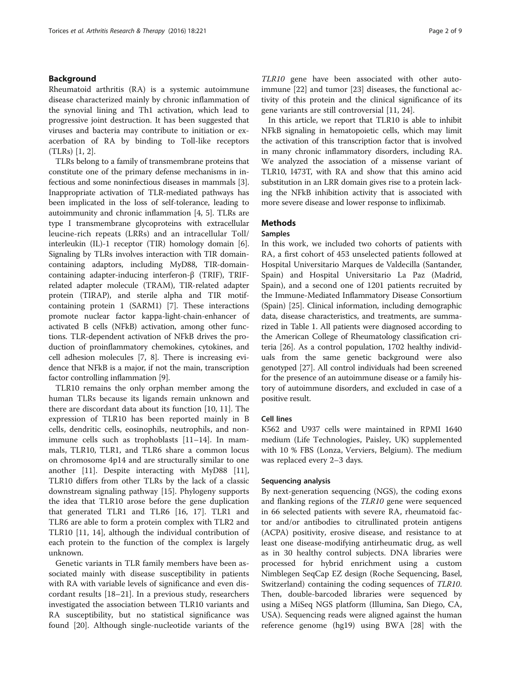## Background

Rheumatoid arthritis (RA) is a systemic autoimmune disease characterized mainly by chronic inflammation of the synovial lining and Th1 activation, which lead to progressive joint destruction. It has been suggested that viruses and bacteria may contribute to initiation or exacerbation of RA by binding to Toll-like receptors (TLRs) [\[1](#page-8-0), [2](#page-8-0)].

TLRs belong to a family of transmembrane proteins that constitute one of the primary defense mechanisms in infectious and some noninfectious diseases in mammals [[3](#page-8-0)]. Inappropriate activation of TLR-mediated pathways has been implicated in the loss of self-tolerance, leading to autoimmunity and chronic inflammation [\[4](#page-8-0), [5](#page-8-0)]. TLRs are type I transmembrane glycoproteins with extracellular leucine-rich repeats (LRRs) and an intracellular Toll/ interleukin (IL)-1 receptor (TIR) homology domain [[6](#page-8-0)]. Signaling by TLRs involves interaction with TIR domaincontaining adaptors, including MyD88, TIR-domaincontaining adapter-inducing interferon-β (TRIF), TRIFrelated adapter molecule (TRAM), TIR-related adapter protein (TIRAP), and sterile alpha and TIR motifcontaining protein 1 (SARM1) [[7](#page-8-0)]. These interactions promote nuclear factor kappa-light-chain-enhancer of activated B cells (NFkB) activation, among other functions. TLR-dependent activation of NFkB drives the production of proinflammatory chemokines, cytokines, and cell adhesion molecules [[7](#page-8-0), [8](#page-8-0)]. There is increasing evidence that NFkB is a major, if not the main, transcription factor controlling inflammation [\[9](#page-8-0)].

TLR10 remains the only orphan member among the human TLRs because its ligands remain unknown and there are discordant data about its function [\[10](#page-8-0), [11](#page-8-0)]. The expression of TLR10 has been reported mainly in B cells, dendritic cells, eosinophils, neutrophils, and nonimmune cells such as trophoblasts [[11](#page-8-0)–[14\]](#page-8-0). In mammals, TLR10, TLR1, and TLR6 share a common locus on chromosome 4p14 and are structurally similar to one another [\[11](#page-8-0)]. Despite interacting with MyD88 [\[11](#page-8-0)], TLR10 differs from other TLRs by the lack of a classic downstream signaling pathway [[15\]](#page-8-0). Phylogeny supports the idea that TLR10 arose before the gene duplication that generated TLR1 and TLR6 [\[16, 17](#page-8-0)]. TLR1 and TLR6 are able to form a protein complex with TLR2 and TLR10 [[11, 14](#page-8-0)], although the individual contribution of each protein to the function of the complex is largely unknown.

Genetic variants in TLR family members have been associated mainly with disease susceptibility in patients with RA with variable levels of significance and even discordant results [[18](#page-8-0)–[21](#page-8-0)]. In a previous study, researchers investigated the association between TLR10 variants and RA susceptibility, but no statistical significance was found [[20\]](#page-8-0). Although single-nucleotide variants of the TLR10 gene have been associated with other autoimmune [\[22\]](#page-8-0) and tumor [[23](#page-8-0)] diseases, the functional activity of this protein and the clinical significance of its gene variants are still controversial [\[11](#page-8-0), [24](#page-8-0)].

In this article, we report that TLR10 is able to inhibit NFkB signaling in hematopoietic cells, which may limit the activation of this transcription factor that is involved in many chronic inflammatory disorders, including RA. We analyzed the association of a missense variant of TLR10, I473T, with RA and show that this amino acid substitution in an LRR domain gives rise to a protein lacking the NFkB inhibition activity that is associated with more severe disease and lower response to infliximab.

## **Methods**

## Samples

In this work, we included two cohorts of patients with RA, a first cohort of 453 unselected patients followed at Hospital Universitario Marques de Valdecilla (Santander, Spain) and Hospital Universitario La Paz (Madrid, Spain), and a second one of 1201 patients recruited by the Immune-Mediated Inflammatory Disease Consortium (Spain) [[25](#page-8-0)]. Clinical information, including demographic data, disease characteristics, and treatments, are summarized in Table [1](#page-2-0). All patients were diagnosed according to the American College of Rheumatology classification criteria [\[26\]](#page-8-0). As a control population, 1702 healthy individuals from the same genetic background were also genotyped [\[27\]](#page-8-0). All control individuals had been screened for the presence of an autoimmune disease or a family history of autoimmune disorders, and excluded in case of a positive result.

## Cell lines

K562 and U937 cells were maintained in RPMI 1640 medium (Life Technologies, Paisley, UK) supplemented with 10 % FBS (Lonza, Verviers, Belgium). The medium was replaced every 2–3 days.

## Sequencing analysis

By next-generation sequencing (NGS), the coding exons and flanking regions of the TLR10 gene were sequenced in 66 selected patients with severe RA, rheumatoid factor and/or antibodies to citrullinated protein antigens (ACPA) positivity, erosive disease, and resistance to at least one disease-modifying antirheumatic drug, as well as in 30 healthy control subjects. DNA libraries were processed for hybrid enrichment using a custom Nimblegen SeqCap EZ design (Roche Sequencing, Basel, Switzerland) containing the coding sequences of TLR10. Then, double-barcoded libraries were sequenced by using a MiSeq NGS platform (Illumina, San Diego, CA, USA). Sequencing reads were aligned against the human reference genome (hg19) using BWA [[28](#page-8-0)] with the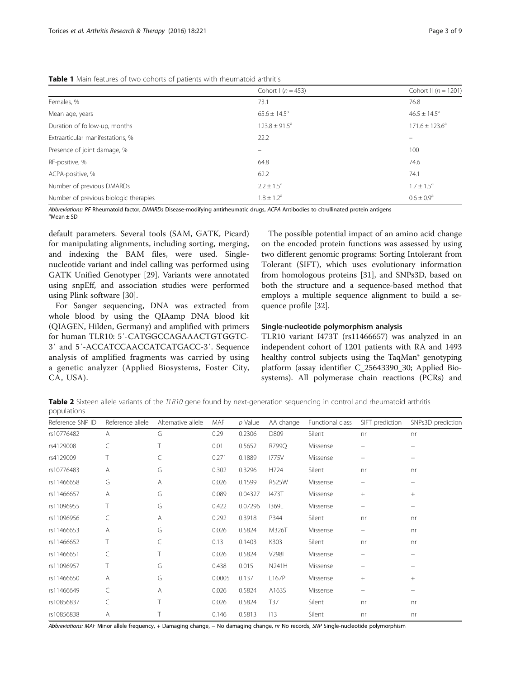<span id="page-2-0"></span>Table 1 Main features of two cohorts of patients with rheumatoid arthritis

|                                       | Cohort I ( $n = 453$ )   | Cohort II ( $n = 1201$ ) |
|---------------------------------------|--------------------------|--------------------------|
| Females, %                            | 73.1                     | 76.8                     |
| Mean age, years                       | $65.6 \pm 14.5^{\circ}$  | $46.5 \pm 14.5^a$        |
| Duration of follow-up, months         | $123.8 \pm 91.5^{\circ}$ | $171.6 \pm 123.6^a$      |
| Extraarticular manifestations, %      | 22.2                     | $\overline{\phantom{0}}$ |
| Presence of joint damage, %           | $\qquad \qquad -$        | 100                      |
| RF-positive, %                        | 64.8                     | 74.6                     |
| ACPA-positive, %                      | 62.2                     | 74.1                     |
| Number of previous DMARDs             | $2.2 \pm 1.5^a$          | $1.7 \pm 1.5^{\circ}$    |
| Number of previous biologic therapies | $1.8 \pm 1.2^a$          | $0.6 \pm 0.9^{\circ}$    |

Abbreviations: RF Rheumatoid factor, DMARDs Disease-modifying antirheumatic drugs, ACPA Antibodies to citrullinated protein antigens

 $^{\text{a}}$ Mean  $\pm$  SD

default parameters. Several tools (SAM, GATK, Picard) for manipulating alignments, including sorting, merging, and indexing the BAM files, were used. Singlenucleotide variant and indel calling was performed using GATK Unified Genotyper [[29\]](#page-8-0). Variants were annotated using snpEff, and association studies were performed using Plink software [[30\]](#page-8-0).

For Sanger sequencing, DNA was extracted from whole blood by using the QIAamp DNA blood kit (QIAGEN, Hilden, Germany) and amplified with primers for human TLR10: 5′-CATGGCCAGAAACTGTGGTC-3′ and 5′-ACCATCCAACCATCATGACC-3′. Sequence analysis of amplified fragments was carried by using a genetic analyzer (Applied Biosystems, Foster City, CA, USA).

The possible potential impact of an amino acid change on the encoded protein functions was assessed by using two different genomic programs: Sorting Intolerant from Tolerant (SIFT), which uses evolutionary information from homologous proteins [\[31](#page-8-0)], and SNPs3D, based on both the structure and a sequence-based method that employs a multiple sequence alignment to build a sequence profile [\[32](#page-8-0)].

#### Single-nucleotide polymorphism analysis

TLR10 variant I473T (rs11466657) was analyzed in an independent cohort of 1201 patients with RA and 1493 healthy control subjects using the TaqMan<sup>®</sup> genotyping platform (assay identifier C\_25643390\_30; Applied Biosystems). All polymerase chain reactions (PCRs) and

Table 2 Sixteen allele variants of the TLR10 gene found by next-generation sequencing in control and rheumatoid arthritis populations

| Reference SNP ID | Reference allele | Alternative allele | MAF    | $p$ Value | AA change    | Functional class | SIFT prediction | SNPs3D prediction |
|------------------|------------------|--------------------|--------|-----------|--------------|------------------|-----------------|-------------------|
| rs10776482       | A                | G                  | 0.29   | 0.2306    | D809         | Silent           | nr              | nr                |
| rs4129008        | C                | Τ                  | 0.01   | 0.5652    | R799Q        | Missense         |                 |                   |
| rs4129009        |                  | C                  | 0.271  | 0.1889    | <b>1775V</b> | Missense         |                 |                   |
| rs10776483       | A                | G                  | 0.302  | 0.3296    | H724         | Silent           | nr              | n <sub>r</sub>    |
| rs11466658       | G                | Α                  | 0.026  | 0.1599    | R525W        | Missense         |                 |                   |
| rs11466657       | Α                | G                  | 0.089  | 0.04327   | <b>I473T</b> | Missense         | $^{+}$          | $+$               |
| rs11096955       |                  | G                  | 0.422  | 0.07296   | 1369L        | Missense         |                 | —                 |
| rs11096956       | C                | Α                  | 0.292  | 0.3918    | P344         | Silent           | nr              | nr                |
| rs11466653       | А                | G                  | 0.026  | 0.5824    | M326T        | Missense         |                 | n <sub>r</sub>    |
| rs11466652       | Τ                | C                  | 0.13   | 0.1403    | K303         | Silent           | nr              | nr                |
| rs11466651       | C                | Τ                  | 0.026  | 0.5824    | V298I        | Missense         |                 |                   |
| rs11096957       |                  | G                  | 0.438  | 0.015     | N241H        | Missense         |                 |                   |
| rs11466650       | Α                | G                  | 0.0005 | 0.137     | L167P        | Missense         | $+$             | $+$               |
| rs11466649       | C                | Α                  | 0.026  | 0.5824    | A163S        | Missense         |                 |                   |
| rs10856837       | C                | Τ                  | 0.026  | 0.5824    | T37          | Silent           | n <sub>r</sub>  | n <sub>r</sub>    |
| rs10856838       | Α                |                    | 0.146  | 0.5813    | 113          | Silent           | nr              | nr                |

Abbreviations: MAF Minor allele frequency, + Damaging change, - No damaging change, nr No records, SNP Single-nucleotide polymorphism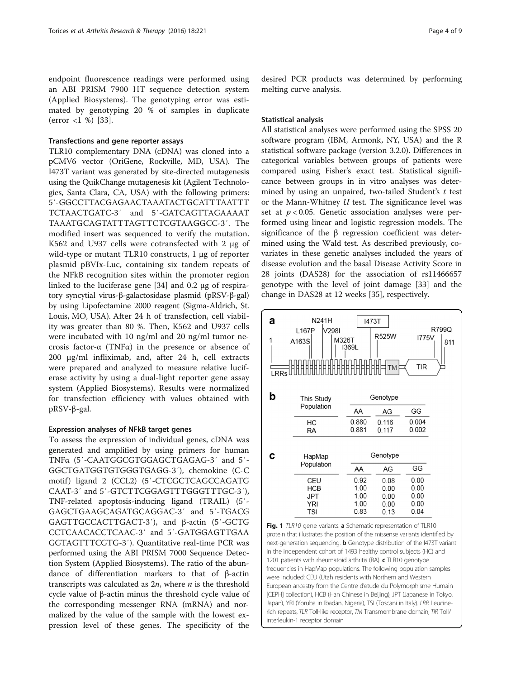<span id="page-3-0"></span>endpoint fluorescence readings were performed using an ABI PRISM 7900 HT sequence detection system (Applied Biosystems). The genotyping error was estimated by genotyping 20 % of samples in duplicate (error <1 %) [[33\]](#page-8-0).

## Transfections and gene reporter assays

TLR10 complementary DNA (cDNA) was cloned into a pCMV6 vector (OriGene, Rockville, MD, USA). The I473T variant was generated by site-directed mutagenesis using the QuikChange mutagenesis kit (Agilent Technologies, Santa Clara, CA, USA) with the following primers: 5′-GGCCTTACGAGAACTAAATACTGCATTTAATTT TCTAACTGATC-3′ and 5′-GATCAGTTAGAAAAT TAAATGCAGTATTTAGTTCTCGTAAGGCC-3′. The modified insert was sequenced to verify the mutation. K562 and U937 cells were cotransfected with 2 μg of wild-type or mutant TLR10 constructs, 1 μg of reporter plasmid pBVIx-Luc, containing six tandem repeats of the NFkB recognition sites within the promoter region linked to the luciferase gene [[34\]](#page-8-0) and 0.2 μg of respiratory syncytial virus-β-galactosidase plasmid (pRSV-β-gal) by using Lipofectamine 2000 reagent (Sigma-Aldrich, St. Louis, MO, USA). After 24 h of transfection, cell viability was greater than 80 %. Then, K562 and U937 cells were incubated with 10 ng/ml and 20 ng/ml tumor necrosis factor-α (TNFα) in the presence or absence of 200 μg/ml infliximab, and, after 24 h, cell extracts were prepared and analyzed to measure relative luciferase activity by using a dual-light reporter gene assay system (Applied Biosystems). Results were normalized for transfection efficiency with values obtained with pRSV-β-gal.

## Expression analyses of NFkB target genes

To assess the expression of individual genes, cDNA was generated and amplified by using primers for human TNFα (5′-CAATGGCGTGGAGCTGAGAG-3′ and 5′- GGCTGATGGTGTGGGTGAGG-3′), chemokine (C-C motif) ligand 2 (CCL2) (5'-CTCGCTCAGCCAGATG CAAT-3′ and 5′-GTCTTCGGAGTTTGGGTTTGC-3′), TNF-related apoptosis-inducing ligand (TRAIL) (5′- GAGCTGAAGCAGATGCAGGAC-3′ and 5′-TGACG GAGTTGCCACTTGACT-3′), and β-actin (5′-GCTG CCTCAACACCTCAAC-3′ and 5′-GATGGAGTTGAA GGTAGTTTCGTG-3′). Quantitative real-time PCR was performed using the ABI PRISM 7000 Sequence Detection System (Applied Biosystems). The ratio of the abundance of differentiation markers to that of β-actin transcripts was calculated as  $2n$ , where  $n$  is the threshold cycle value of β-actin minus the threshold cycle value of the corresponding messenger RNA (mRNA) and normalized by the value of the sample with the lowest expression level of these genes. The specificity of the

desired PCR products was determined by performing melting curve analysis.

### Statistical analysis

All statistical analyses were performed using the SPSS 20 software program (IBM, Armonk, NY, USA) and the R statistical software package (version 3.2.0). Differences in categorical variables between groups of patients were compared using Fisher's exact test. Statistical significance between groups in in vitro analyses was determined by using an unpaired, two-tailed Student's  $t$  test or the Mann-Whitney  $U$  test. The significance level was set at  $p < 0.05$ . Genetic association analyses were performed using linear and logistic regression models. The significance of the β regression coefficient was determined using the Wald test. As described previously, covariates in these genetic analyses included the years of disease evolution and the basal Disease Activity Score in 28 joints (DAS28) for the association of rs11466657 genotype with the level of joint damage [[33](#page-8-0)] and the change in DAS28 at 12 weeks [[35\]](#page-8-0), respectively.



Fig. 1 TLR10 gene variants. a Schematic representation of TLR10 protein that illustrates the position of the missense variants identified by next-generation sequencing. **b** Genotype distribution of the I473T variant in the independent cohort of 1493 healthy control subjects (HC) and 1201 patients with rheumatoid arthritis (RA). c TLR10 genotype frequencies in HapMap populations. The following population samples were included: CEU (Utah residents with Northern and Western European ancestry from the Centre d'etude du Polymorphisme Humain [CEPH] collection), HCB (Han Chinese in Beijing), JPT (Japanese in Tokyo, Japan), YRI (Yoruba in Ibadan, Nigeria), TSI (Toscani in Italy). LRR Leucinerich repeats, TLR Toll-like receptor, TM Transmembrane domain, TIR Toll/ interleukin-1 receptor domain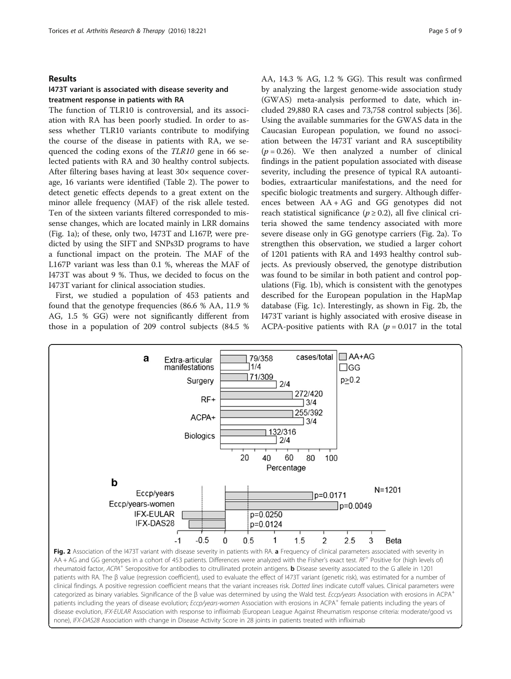## Results

## I473T variant is associated with disease severity and treatment response in patients with RA

The function of TLR10 is controversial, and its association with RA has been poorly studied. In order to assess whether TLR10 variants contribute to modifying the course of the disease in patients with RA, we sequenced the coding exons of the TLR10 gene in 66 selected patients with RA and 30 healthy control subjects. After filtering bases having at least 30× sequence coverage, 16 variants were identified (Table [2](#page-2-0)). The power to detect genetic effects depends to a great extent on the minor allele frequency (MAF) of the risk allele tested. Ten of the sixteen variants filtered corresponded to missense changes, which are located mainly in LRR domains (Fig. [1a](#page-3-0)); of these, only two, I473T and L167P, were predicted by using the SIFT and SNPs3D programs to have a functional impact on the protein. The MAF of the L167P variant was less than 0.1 %, whereas the MAF of I473T was about 9 %. Thus, we decided to focus on the I473T variant for clinical association studies.

First, we studied a population of 453 patients and found that the genotype frequencies (86.6 % AA, 11.9 % AG, 1.5 % GG) were not significantly different from those in a population of 209 control subjects (84.5 % AA, 14.3 % AG, 1.2 % GG). This result was confirmed by analyzing the largest genome-wide association study (GWAS) meta-analysis performed to date, which included 29,880 RA cases and 73,758 control subjects [\[36](#page-8-0)]. Using the available summaries for the GWAS data in the Caucasian European population, we found no association between the I473T variant and RA susceptibility  $(p = 0.26)$ . We then analyzed a number of clinical findings in the patient population associated with disease severity, including the presence of typical RA autoantibodies, extraarticular manifestations, and the need for specific biologic treatments and surgery. Although differences between AA + AG and GG genotypes did not reach statistical significance ( $p \ge 0.2$ ), all five clinical criteria showed the same tendency associated with more severe disease only in GG genotype carriers (Fig. 2a). To strengthen this observation, we studied a larger cohort of 1201 patients with RA and 1493 healthy control subjects. As previously observed, the genotype distribution was found to be similar in both patient and control populations (Fig. [1b](#page-3-0)), which is consistent with the genotypes described for the European population in the HapMap database (Fig. [1c\)](#page-3-0). Interestingly, as shown in Fig. 2b, the I473T variant is highly associated with erosive disease in ACPA-positive patients with RA ( $p = 0.017$  in the total



clinical findings. A positive regression coefficient means that the variant increases risk. Dotted lines indicate cutoff values. Clinical parameters were categorized as binary variables. Significance of the β value was determined by using the Wald test. Eccp/years Association with erosions in ACPA<sup>+</sup> patients including the years of disease evolution; Eccp/years-women Association with erosions in ACPA+ female patients including the years of disease evolution, IFX-EULAR Association with response to infliximab (European League Against Rheumatism response criteria: moderate/good vs none), IFX-DAS28 Association with change in Disease Activity Score in 28 joints in patients treated with infliximab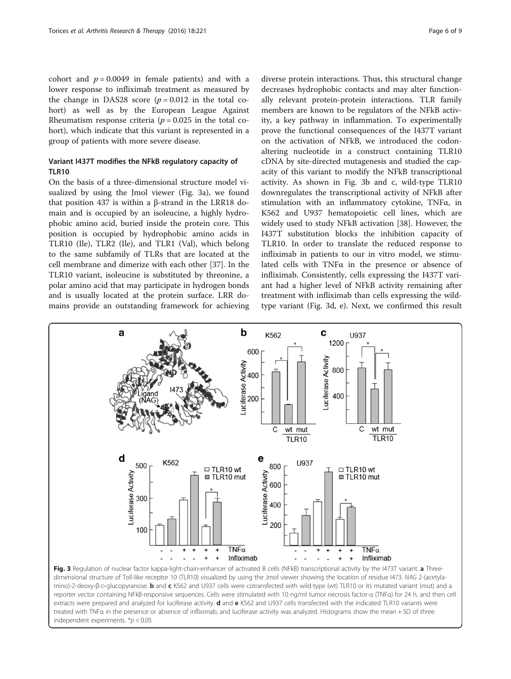cohort and  $p = 0.0049$  in female patients) and with a lower response to infliximab treatment as measured by the change in DAS28 score  $(p = 0.012$  in the total cohort) as well as by the European League Against Rheumatism response criteria ( $p = 0.025$  in the total cohort), which indicate that this variant is represented in a group of patients with more severe disease.

## Variant I437T modifies the NFkB regulatory capacity of TLR10

On the basis of a three-dimensional structure model visualized by using the Jmol viewer (Fig. 3a), we found that position 437 is within a β-strand in the LRR18 domain and is occupied by an isoleucine, a highly hydrophobic amino acid, buried inside the protein core. This position is occupied by hydrophobic amino acids in TLR10 (Ile), TLR2 (Ile), and TLR1 (Val), which belong to the same subfamily of TLRs that are located at the cell membrane and dimerize with each other [[37](#page-8-0)]. In the TLR10 variant, isoleucine is substituted by threonine, a polar amino acid that may participate in hydrogen bonds and is usually located at the protein surface. LRR domains provide an outstanding framework for achieving

diverse protein interactions. Thus, this structural change decreases hydrophobic contacts and may alter functionally relevant protein-protein interactions. TLR family members are known to be regulators of the NFkB activity, a key pathway in inflammation. To experimentally prove the functional consequences of the I437T variant on the activation of NFkB, we introduced the codonaltering nucleotide in a construct containing TLR10 cDNA by site-directed mutagenesis and studied the capacity of this variant to modify the NFkB transcriptional activity. As shown in Fig. 3b and c, wild-type TLR10 downregulates the transcriptional activity of NFkB after stimulation with an inflammatory cytokine, TNFα, in K562 and U937 hematopoietic cell lines, which are widely used to study NFkB activation [[38\]](#page-8-0). However, the I437T substitution blocks the inhibition capacity of TLR10. In order to translate the reduced response to infliximab in patients to our in vitro model, we stimulated cells with TNFα in the presence or absence of infliximab. Consistently, cells expressing the I437T variant had a higher level of NFkB activity remaining after treatment with infliximab than cells expressing the wildtype variant (Fig. 3d, e). Next, we confirmed this result



dimensional structure of Toll-like receptor 10 (TLR10) visualized by using the Jmol viewer showing the location of residue I473. NAG 2-(acetylamino)-2-deoxy-β-D-glucopyranose. b and c K562 and U937 cells were cotransfected with wild-type (wt) TLR10 or its mutated variant (mut) and a reporter vector containing NFkB-responsive sequences. Cells were stimulated with 10 ng/ml tumor necrosis factor-α (TNFα) for 24 h, and then cell extracts were prepared and analyzed for luciferase activity. d and e K562 and U937 cells transfected with the indicated TLR10 variants were treated with TNFα in the presence or absence of infliximab, and luciferase activity was analyzed. Histograms show the mean + SD of three independent experiments. \*p < 0.05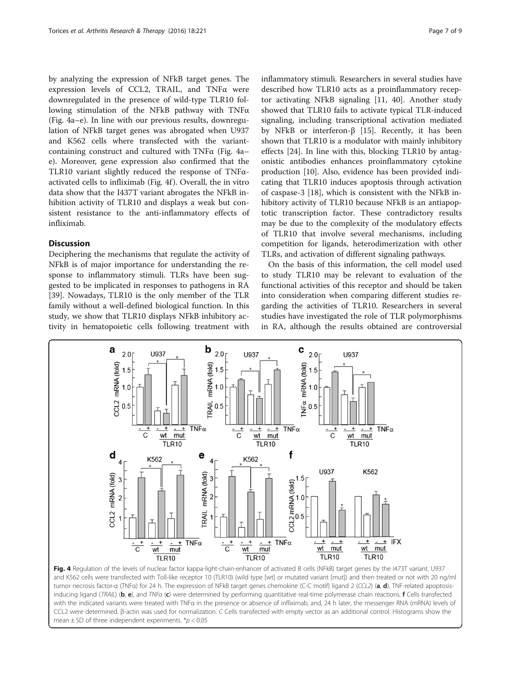by analyzing the expression of NFkB target genes. The expression levels of CCL2, TRAIL, and TNFα were downregulated in the presence of wild-type TLR10 following stimulation of the NFkB pathway with TNFα (Fig. 4a–e). In line with our previous results, downregulation of NFkB target genes was abrogated when U937 and K562 cells where transfected with the variantcontaining construct and cultured with TNFα (Fig. 4a– e). Moreover, gene expression also confirmed that the TLR10 variant slightly reduced the response of TNFαactivated cells to infliximab (Fig. 4f ). Overall, the in vitro data show that the I437T variant abrogates the NFkB inhibition activity of TLR10 and displays a weak but consistent resistance to the anti-inflammatory effects of infliximab.

## Discussion

Deciphering the mechanisms that regulate the activity of NFkB is of major importance for understanding the response to inflammatory stimuli. TLRs have been suggested to be implicated in responses to pathogens in RA [[39\]](#page-8-0). Nowadays, TLR10 is the only member of the TLR family without a well-defined biological function. In this study, we show that TLR10 displays NFkB inhibitory activity in hematopoietic cells following treatment with

inflammatory stimuli. Researchers in several studies have described how TLR10 acts as a proinflammatory receptor activating NFkB signaling [[11, 40\]](#page-8-0). Another study showed that TLR10 fails to activate typical TLR-induced signaling, including transcriptional activation mediated by NFkB or interferon-β [\[15](#page-8-0)]. Recently, it has been shown that TLR10 is a modulator with mainly inhibitory effects [[24](#page-8-0)]. In line with this, blocking TLR10 by antagonistic antibodies enhances proinflammatory cytokine production [[10\]](#page-8-0). Also, evidence has been provided indicating that TLR10 induces apoptosis through activation of caspase-3 [[18\]](#page-8-0), which is consistent with the NFkB inhibitory activity of TLR10 because NFkB is an antiapoptotic transcription factor. These contradictory results may be due to the complexity of the modulatory effects of TLR10 that involve several mechanisms, including competition for ligands, heterodimerization with other TLRs, and activation of different signaling pathways.

On the basis of this information, the cell model used to study TLR10 may be relevant to evaluation of the functional activities of this receptor and should be taken into consideration when comparing different studies regarding the activities of TLR10. Researchers in several studies have investigated the role of TLR polymorphisms in RA, although the results obtained are controversial



Fig. 4 Regulation of the levels of nuclear factor kappa-light-chain-enhancer of activated B cells (NFkB) target genes by the I473T variant. U937 and K562 cells were transfected with Toll-like receptor 10 (TLR10) (wild type [wt] or mutated variant [mut]) and then treated or not with 20 ng/ml tumor necrosis factor-α (TNFα) for 24 h. The expression of NFkB target genes chemokine (C-C motif) ligand 2 (CCL2) (a, d), TNF-related apoptosisinducing ligand (TRAIL) (b, e), and TNFa (c) were determined by performing quantitative real-time polymerase chain reactions. f Cells transfected with the indicated variants were treated with TNFα in the presence or absence of infliximab, and, 24 h later, the messenger RNA (mRNA) levels of CCL2 were determined. β-actin was used for normalization. C Cells transfected with empty vector as an additional control. Histograms show the mean  $\pm$  SD of three independent experiments.  $*$ *p* < 0.05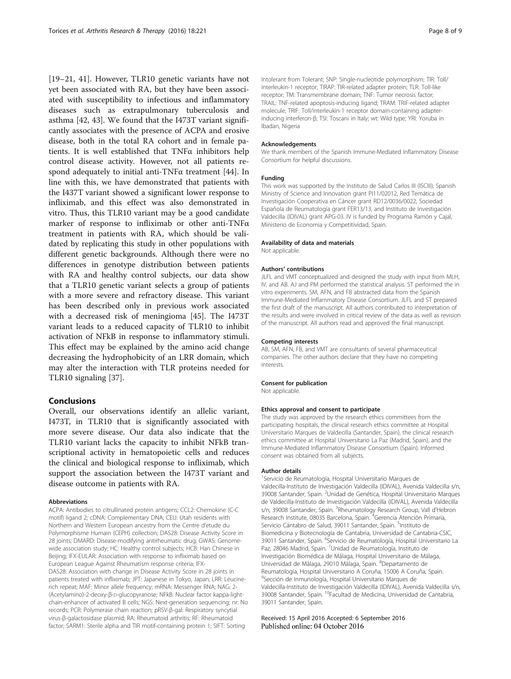[[19](#page-8-0)–[21](#page-8-0), [41\]](#page-8-0). However, TLR10 genetic variants have not yet been associated with RA, but they have been associated with susceptibility to infectious and inflammatory diseases such as extrapulmonary tuberculosis and asthma [\[42](#page-8-0), [43](#page-8-0)]. We found that the I473T variant significantly associates with the presence of ACPA and erosive disease, both in the total RA cohort and in female patients. It is well established that TNFα inhibitors help control disease activity. However, not all patients respond adequately to initial anti-TNFα treatment [\[44](#page-8-0)]. In line with this, we have demonstrated that patients with the I437T variant showed a significant lower response to infliximab, and this effect was also demonstrated in vitro. Thus, this TLR10 variant may be a good candidate marker of response to infliximab or other anti-TNFα treatment in patients with RA, which should be validated by replicating this study in other populations with different genetic backgrounds. Although there were no differences in genotype distribution between patients with RA and healthy control subjects, our data show that a TLR10 genetic variant selects a group of patients with a more severe and refractory disease. This variant has been described only in previous work associated with a decreased risk of meningioma [\[45\]](#page-8-0). The I473T variant leads to a reduced capacity of TLR10 to inhibit activation of NFkB in response to inflammatory stimuli. This effect may be explained by the amino acid change decreasing the hydrophobicity of an LRR domain, which may alter the interaction with TLR proteins needed for TLR10 signaling [[37\]](#page-8-0).

## Conclusions

Overall, our observations identify an allelic variant, I473T, in TLR10 that is significantly associated with more severe disease. Our data also indicate that the TLR10 variant lacks the capacity to inhibit NFkB transcriptional activity in hematopoietic cells and reduces the clinical and biological response to infliximab, which support the association between the I473T variant and disease outcome in patients with RA.

#### Abbreviations

ACPA: Antibodies to citrullinated protein antigens; CCL2: Chemokine (C-C motif) ligand 2; cDNA: Complementary DNA; CEU: Utah residents with Northern and Western European ancestry from the Centre d'etude du Polymorphisme Humain (CEPH) collection; DAS28: Disease Activity Score in 28 joints; DMARD: Disease-modifying antirheumatic drug; GWAS: Genomewide association study; HC: Healthy control subjects; HCB: Han Chinese in Beijing; IFX-EULAR: Association with response to infliximab based on European League Against Rheumatism response criteria; IFX-DAS28: Association with change in Disease Activity Score in 28 joints in patients treated with infliximab; JPT: Japanese in Tokyo, Japan; LRR: Leucinerich repeat; MAF: Minor allele frequency; mRNA: Messenger RNA; NAG: 2- (Acetylamino)-2-deoxy-β-D-glucopyranose; NFkB: Nuclear factor kappa-lightchain-enhancer of activated B cells; NGS: Next-generation sequencing; nr: No records; PCR: Polymerase chain reaction; pRSV-β-gal: Respiratory syncytial virus-β-galactosidase plasmid; RA: Rheumatoid arthritis; RF: Rheumatoid factor; SARM1: Sterile alpha and TIR motif-containing protein 1; SIFT: Sorting

Intolerant from Tolerant; SNP: Single-nucleotide polymorphism; TIR: Toll/ interleukin-1 receptor; TIRAP: TIR-related adapter protein; TLR: Toll-like receptor; TM: Transmembrane domain; TNF: Tumor necrosis factor; TRAIL: TNF-related apoptosis-inducing ligand; TRAM: TRIF-related adapter molecule; TRIF: Toll/interleukin-1 receptor domain-containing adapterinducing interferon-β; TSI: Toscani in Italy; wt: Wild type; YRI: Yoruba in Ibadan, Nigeria

#### Acknowledgements

We thank members of the Spanish Immune-Mediated Inflammatory Disease Consortium for helpful discussions.

### Funding

This work was supported by the Instituto de Salud Carlos III (ISCIII), Spanish Ministry of Science and Innovation grant PI11/02012, Red Temática de Investigación Cooperativa en Cáncer grant RD12/0036/0022, Sociedad Española de Reumatología grant FER13/13, and Instituto de Investigación Valdecilla (IDIVAL) grant APG-03. IV is funded by Programa Ramón y Cajal, Ministerio de Economia y Competitividad, Spain.

#### Availability of data and materials

Not applicable.

#### Authors' contributions

JLFL and VMT conceptualized and designed the study with input from MLH, IV, and AB. AJ and PM performed the statistical analysis. ST performed the in vitro experiments. SM, AFN, and FB abstracted data from the Spanish Immune-Mediated Inflammatory Disease Consortium. JLFL and ST prepared the first draft of the manuscript. All authors contributed to interpretation of the results and were involved in critical review of the data as well as revision of the manuscript. All authors read and approved the final manuscript.

#### Competing interests

AB, SM, AFN, FB, and VMT are consultants of several pharmaceutical companies. The other authors declare that they have no competing interests.

#### Consent for publication

Not applicable.

#### Ethics approval and consent to participate

The study was approved by the research ethics committees from the participating hospitals, the clinical research ethics committee at Hospital Universitario Marques de Valdecilla (Santander, Spain), the clinical research ethics committee at Hospital Universitario La Paz (Madrid, Spain), and the Immune-Mediated Inflammatory Disease Consortium (Spain). Informed consent was obtained from all subjects.

#### Author details

<sup>1</sup> Servicio de Reumatología, Hospital Universitario Marques de Valdecilla-Instituto de Investigación Valdecilla (IDIVAL), Avenida Valdecilla s/n, 39008 Santander, Spain. <sup>2</sup>Unidad de Genética, Hospital Universitario Marques de Valdecilla-Instituto de Investigación Valdecilla (IDIVAL), Avenida Valdecilla s/n, 39008 Santander, Spain. <sup>3</sup>Rheumatology Research Group, Vall d'Hebron Research Institute, 08035 Barcelona, Spain. <sup>4</sup>Gerencia Atención Primaria, Servicio Cántabro de Salud, 39011 Santander, Spain. <sup>5</sup>Instituto de Biomedicina y Biotecnología de Cantabria, Universidad de Cantabria-CSIC, 39011 Santander, Spain. <sup>6</sup>Servicio de Reumatología, Hospital Universitario La Paz, 28046 Madrid, Spain. <sup>7</sup>Unidad de Reumatología, Instituto de Investigación Biomédica de Málaga, Hospital Universitario de Málaga, Universidad de Málaga, 29010 Málaga, Spain. <sup>8</sup>Departamento de Reumatología, Hospital Universitario A Coruña, 15006 A Coruña, Spain. 9 Sección de Inmunología, Hospital Universitario Marques de Valdecilla-Instituto de Investigación Valdecilla (IDIVAL), Avenida Valdecilla s/n, 39008 Santander, Spain. <sup>10</sup>Facultad de Medicina, Universidad de Cantabria, 39011 Santander, Spain.

#### Received: 15 April 2016 Accepted: 6 September 2016 Published online: 04 October 2016